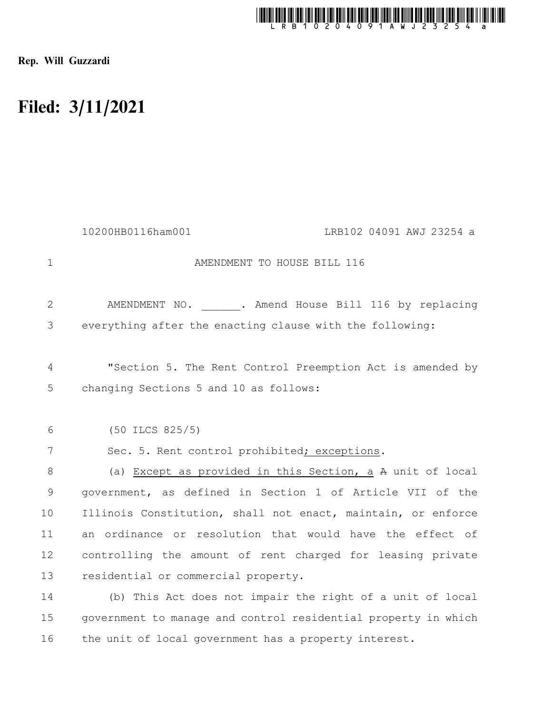

Rep. Will Guzzardi

16

## Filed: 3/11/2021

|             | 10200HB0116ham001<br>LRB102 04091 AWJ 23254 a                                                       |
|-------------|-----------------------------------------------------------------------------------------------------|
| $\mathbf 1$ | AMENDMENT TO HOUSE BILL 116                                                                         |
| 2           | AMENDMENT NO. . Amend House Bill 116 by replacing                                                   |
| 3           | everything after the enacting clause with the following:                                            |
| 4<br>5      | "Section 5. The Rent Control Preemption Act is amended by<br>changing Sections 5 and 10 as follows: |
| 6           | $(50$ ILCS $825/5)$                                                                                 |
| 7           | Sec. 5. Rent control prohibited; exceptions.                                                        |
| 8           | (a) Except as provided in this Section, a A unit of local                                           |
| $\mathsf 9$ | government, as defined in Section 1 of Article VII of the                                           |
| 10          | Illinois Constitution, shall not enact, maintain, or enforce                                        |
| 11          | an ordinance or resolution that would have the effect of                                            |
| 12          | controlling the amount of rent charged for leasing private                                          |
| 13          | residential or commercial property.                                                                 |
| 14          | (b) This Act does not impair the right of a unit of local                                           |
| 15          | government to manage and control residential property in which                                      |

the unit of local government has a property interest.